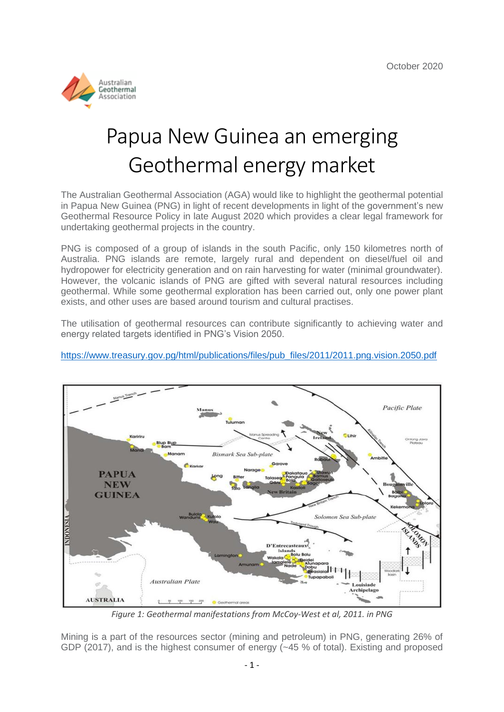

# Papua New Guinea an emerging Geothermal energy market

The Australian Geothermal Association (AGA) would like to highlight the geothermal potential in Papua New Guinea (PNG) in light of recent developments in light of the government's new Geothermal Resource Policy in late August 2020 which provides a clear legal framework for undertaking geothermal projects in the country.

PNG is composed of a group of islands in the south Pacific, only 150 kilometres north of Australia. PNG islands are remote, largely rural and dependent on diesel/fuel oil and hydropower for electricity generation and on rain harvesting for water (minimal groundwater). However, the volcanic islands of PNG are gifted with several natural resources including geothermal. While some geothermal exploration has been carried out, only one power plant exists, and other uses are based around tourism and cultural practises.

The utilisation of geothermal resources can contribute significantly to achieving water and energy related targets identified in PNG's Vision 2050.



[https://www.treasury.gov.pg/html/publications/files/pub\\_files/2011/2011.png.vision.2050.pdf](https://www.treasury.gov.pg/html/publications/files/pub_files/2011/2011.png.vision.2050.pdf)

*Figure 1: Geothermal manifestations from McCoy-West et al, 2011. in PNG*

Mining is a part of the resources sector (mining and petroleum) in PNG, generating 26% of GDP (2017), and is the highest consumer of energy (~45 % of total). Existing and proposed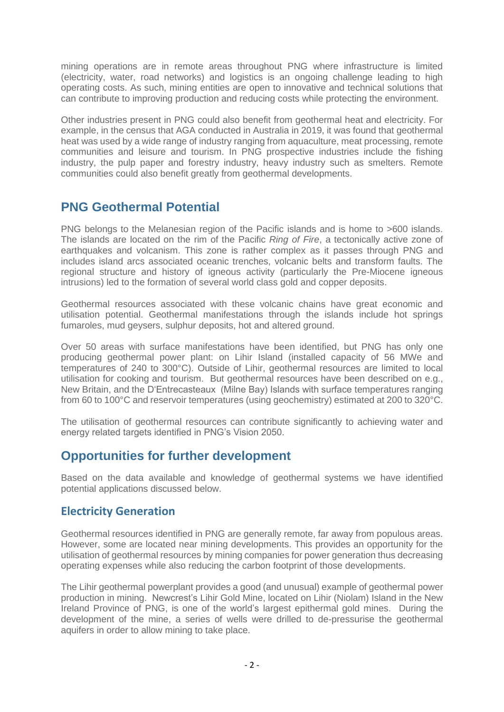mining operations are in remote areas throughout PNG where infrastructure is limited (electricity, water, road networks) and logistics is an ongoing challenge leading to high operating costs. As such, mining entities are open to innovative and technical solutions that can contribute to improving production and reducing costs while protecting the environment.

Other industries present in PNG could also benefit from geothermal heat and electricity. For example, in the census that AGA conducted in Australia in 2019, it was found that geothermal heat was used by a wide range of industry ranging from aquaculture, meat processing, remote communities and leisure and tourism. In PNG prospective industries include the fishing industry, the pulp paper and forestry industry, heavy industry such as smelters. Remote communities could also benefit greatly from geothermal developments.

# **PNG Geothermal Potential**

PNG belongs to the Melanesian region of the Pacific islands and is home to >600 islands. The islands are located on the rim of the Pacific *Ring of Fire*, a tectonically active zone of earthquakes and volcanism. This zone is rather complex as it passes through PNG and includes island arcs associated oceanic trenches, volcanic belts and transform faults. The regional structure and history of igneous activity (particularly the Pre-Miocene igneous intrusions) led to the formation of several world class gold and copper deposits.

Geothermal resources associated with these volcanic chains have great economic and utilisation potential. Geothermal manifestations through the islands include hot springs fumaroles, mud geysers, sulphur deposits, hot and altered ground.

Over 50 areas with surface manifestations have been identified, but PNG has only one producing geothermal power plant: on Lihir Island (installed capacity of 56 MWe and temperatures of 240 to 300°C). Outside of Lihir, geothermal resources are limited to local utilisation for cooking and tourism. But geothermal resources have been described on e.g., New Britain, and the D'Entrecasteaux (Milne Bay) Islands with surface temperatures ranging from 60 to 100°C and reservoir temperatures (using geochemistry) estimated at 200 to 320°C.

The utilisation of geothermal resources can contribute significantly to achieving water and energy related targets identified in PNG's Vision 2050.

# **Opportunities for further development**

Based on the data available and knowledge of geothermal systems we have identified potential applications discussed below.

### **Electricity Generation**

Geothermal resources identified in PNG are generally remote, far away from populous areas. However, some are located near mining developments. This provides an opportunity for the utilisation of geothermal resources by mining companies for power generation thus decreasing operating expenses while also reducing the carbon footprint of those developments.

The Lihir geothermal powerplant provides a good (and unusual) example of geothermal power production in mining. Newcrest's Lihir Gold Mine, located on Lihir (Niolam) Island in the New Ireland Province of PNG, is one of the world's largest epithermal gold mines. During the development of the mine, a series of wells were drilled to de-pressurise the geothermal aquifers in order to allow mining to take place.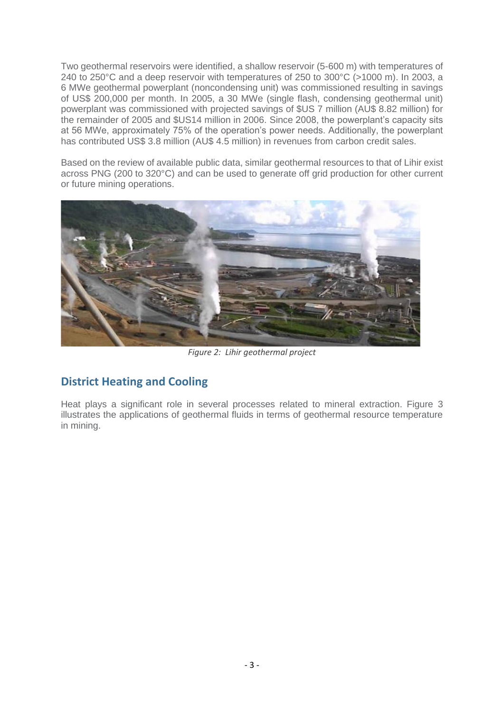Two geothermal reservoirs were identified, a shallow reservoir (5-600 m) with temperatures of 240 to 250°C and a deep reservoir with temperatures of 250 to 300°C (>1000 m). In 2003, a 6 MWe geothermal powerplant (noncondensing unit) was commissioned resulting in savings of US\$ 200,000 per month. In 2005, a 30 MWe (single flash, condensing geothermal unit) powerplant was commissioned with projected savings of \$US 7 million (AU\$ 8.82 million) for the remainder of 2005 and \$US14 million in 2006. Since 2008, the powerplant's capacity sits at 56 MWe, approximately 75% of the operation's power needs. Additionally, the powerplant has contributed US\$ 3.8 million (AU\$ 4.5 million) in revenues from carbon credit sales.

Based on the review of available public data, similar geothermal resources to that of Lihir exist across PNG (200 to 320°C) and can be used to generate off grid production for other current or future mining operations.



*Figure 2: Lihir geothermal project*

### **District Heating and Cooling**

Heat plays a significant role in several processes related to mineral extraction. Figure 3 illustrates the applications of geothermal fluids in terms of geothermal resource temperature in mining.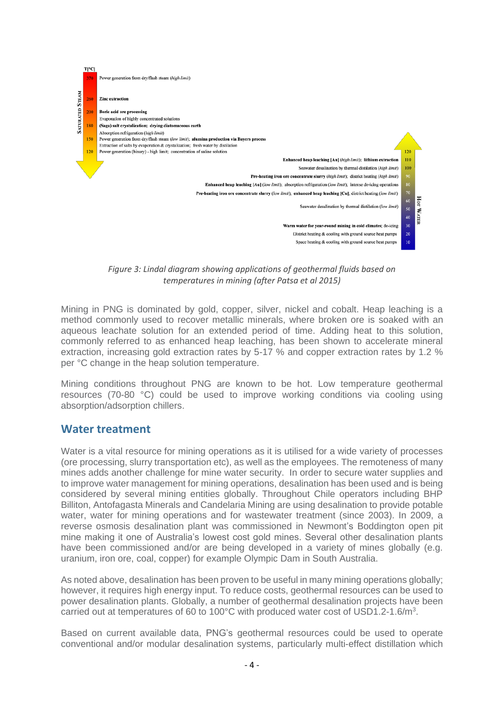

*Figure 3: Lindal diagram showing applications of geothermal fluids based on temperatures in mining (after Patsa et al 2015)*

Mining in PNG is dominated by gold, copper, silver, nickel and cobalt. Heap leaching is a method commonly used to recover metallic minerals, where broken ore is soaked with an aqueous leachate solution for an extended period of time. Adding heat to this solution, commonly referred to as enhanced heap leaching, has been shown to accelerate mineral extraction, increasing gold extraction rates by 5-17 % and copper extraction rates by 1.2 % per °C change in the heap solution temperature.

Mining conditions throughout PNG are known to be hot. Low temperature geothermal resources (70-80 °C) could be used to improve working conditions via cooling using absorption/adsorption chillers.

#### **Water treatment**

Water is a vital resource for mining operations as it is utilised for a wide variety of processes (ore processing, slurry transportation etc), as well as the employees. The remoteness of many mines adds another challenge for mine water security. In order to secure water supplies and to improve water management for mining operations, desalination has been used and is being considered by several mining entities globally. Throughout Chile operators including BHP Billiton, Antofagasta Minerals and Candelaria Mining are using desalination to provide potable water, water for mining operations and for wastewater treatment (since 2003). In 2009, a reverse osmosis desalination plant was commissioned in Newmont's Boddington open pit mine making it one of Australia's lowest cost gold mines. Several other desalination plants have been commissioned and/or are being developed in a variety of mines globally (e.g. uranium, iron ore, coal, copper) for example Olympic Dam in South Australia.

As noted above, desalination has been proven to be useful in many mining operations globally; however, it requires high energy input. To reduce costs, geothermal resources can be used to power desalination plants. Globally, a number of geothermal desalination projects have been carried out at temperatures of 60 to 100°C with produced water cost of USD1.2-1.6/m<sup>3</sup>.

Based on current available data, PNG's geothermal resources could be used to operate conventional and/or modular desalination systems, particularly multi-effect distillation which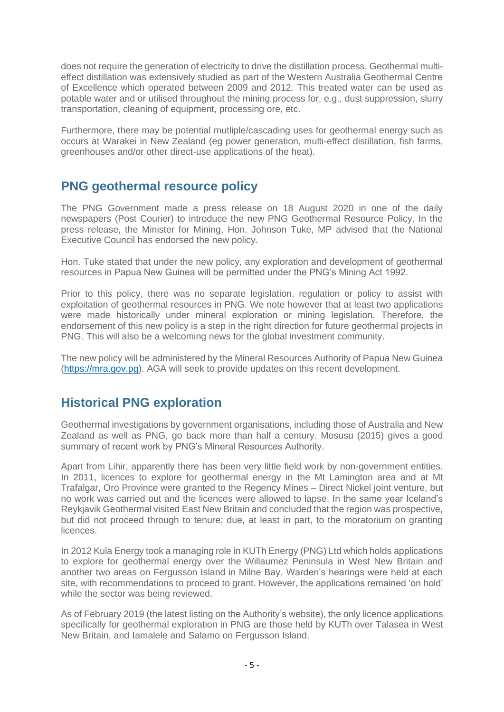does not require the generation of electricity to drive the distillation process. Geothermal multieffect distillation was extensively studied as part of the Western Australia Geothermal Centre of Excellence which operated between 2009 and 2012. This treated water can be used as potable water and or utilised throughout the mining process for, e.g., dust suppression, slurry transportation, cleaning of equipment, processing ore, etc.

Furthermore, there may be potential mutliple/cascading uses for geothermal energy such as occurs at Warakei in New Zealand (eg power generation, multi-effect distillation, fish farms, greenhouses and/or other direct-use applications of the heat).

# **PNG geothermal resource policy**

The PNG Government made a press release on 18 August 2020 in one of the daily newspapers (Post Courier) to introduce the new PNG Geothermal Resource Policy. In the press release, the Minister for Mining, Hon. Johnson Tuke, MP advised that the National Executive Council has endorsed the new policy.

Hon. Tuke stated that under the new policy, any exploration and development of geothermal resources in Papua New Guinea will be permitted under the PNG's Mining Act 1992.

Prior to this policy, there was no separate legislation, regulation or policy to assist with exploitation of geothermal resources in PNG. We note however that at least two applications were made historically under mineral exploration or mining legislation. Therefore, the endorsement of this new policy is a step in the right direction for future geothermal projects in PNG. This will also be a welcoming news for the global investment community.

The new policy will be administered by the Mineral Resources Authority of Papua New Guinea [\(https://mra.gov.pg\)](https://mra.gov.pg/). AGA will seek to provide updates on this recent development.

## **Historical PNG exploration**

Geothermal investigations by government organisations, including those of Australia and New Zealand as well as PNG, go back more than half a century. Mosusu (2015) gives a good summary of recent work by PNG's Mineral Resources Authority.

Apart from Lihir, apparently there has been very little field work by non-government entities. In 2011, licences to explore for geothermal energy in the Mt Lamington area and at Mt Trafalgar, Oro Province were granted to the Regency Mines – Direct Nickel joint venture, but no work was carried out and the licences were allowed to lapse. In the same year Iceland's Reykjavik Geothermal visited East New Britain and concluded that the region was prospective, but did not proceed through to tenure; due, at least in part, to the moratorium on granting licences.

In 2012 Kula Energy took a managing role in KUTh Energy (PNG) Ltd which holds applications to explore for geothermal energy over the Willaumez Peninsula in West New Britain and another two areas on Fergusson Island in Milne Bay. Warden's hearings were held at each site, with recommendations to proceed to grant. However, the applications remained 'on hold' while the sector was being reviewed.

As of February 2019 (the latest listing on the Authority's website), the only licence applications specifically for geothermal exploration in PNG are those held by KUTh over Talasea in West New Britain, and Iamalele and Salamo on Fergusson Island.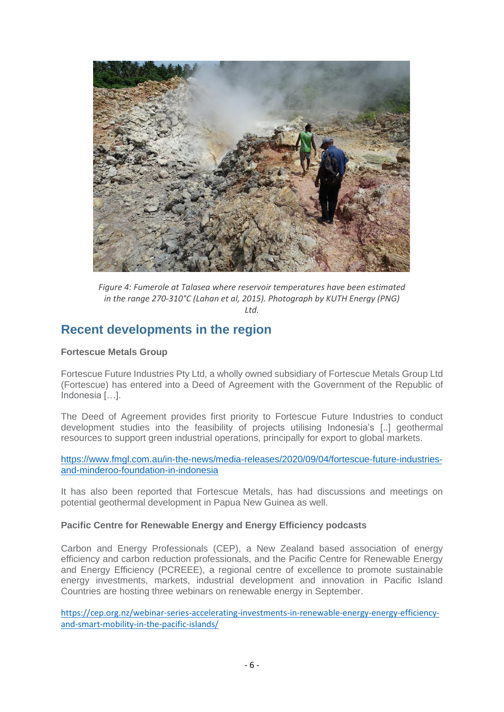

*Figure 4: Fumerole at Talasea where reservoir temperatures have been estimated in the range 270-310°C (Lahan et al, 2015). Photograph by KUTH Energy (PNG) Ltd.*

## **Recent developments in the region**

#### **Fortescue Metals Group**

Fortescue Future Industries Pty Ltd, a wholly owned subsidiary of Fortescue Metals Group Ltd (Fortescue) has entered into a Deed of Agreement with the Government of the Republic of Indonesia […].

The Deed of Agreement provides first priority to Fortescue Future Industries to conduct development studies into the feasibility of projects utilising Indonesia's [..] geothermal resources to support green industrial operations, principally for export to global markets.

[https://www.fmgl.com.au/in-the-news/media-releases/2020/09/04/fortescue-future-industries](https://www.fmgl.com.au/in-the-news/media-releases/2020/09/04/fortescue-future-industries-and-minderoo-foundation-in-indonesia)[and-minderoo-foundation-in-indonesia](https://www.fmgl.com.au/in-the-news/media-releases/2020/09/04/fortescue-future-industries-and-minderoo-foundation-in-indonesia)

It has also been reported that Fortescue Metals, has had discussions and meetings on potential geothermal development in Papua New Guinea as well.

#### **Pacific Centre for Renewable Energy and Energy Efficiency podcasts**

Carbon and Energy Professionals (CEP), a New Zealand based association of energy efficiency and carbon reduction professionals, and the Pacific Centre for Renewable Energy and Energy Efficiency (PCREEE), a regional centre of excellence to promote sustainable energy investments, markets, industrial development and innovation in Pacific Island Countries are hosting three webinars on renewable energy in September.

[https://cep.org.nz/webinar-series-accelerating-investments-in-renewable-energy-energy-efficiency](https://aus01.safelinks.protection.outlook.com/?url=https%3A%2F%2Fcep.org.nz%2Fwebinar-series-accelerating-investments-in-renewable-energy-energy-efficiency-and-smart-mobility-in-the-pacific-islands%2F&data=02%7C01%7CJacqui.Oldham%40nzte.govt.nz%7Cba0f8ba8547e431336c808d85494fe4a%7C209fe2ce372c489eb3fd066acdf69f09%7C0%7C0%7C637352346185956727&sdata=7jk%2FbXs6EzHSO24KykuNoMunwzya%2BJXXHArVeMhvh7U%3D&reserved=0)[and-smart-mobility-in-the-pacific-islands/](https://aus01.safelinks.protection.outlook.com/?url=https%3A%2F%2Fcep.org.nz%2Fwebinar-series-accelerating-investments-in-renewable-energy-energy-efficiency-and-smart-mobility-in-the-pacific-islands%2F&data=02%7C01%7CJacqui.Oldham%40nzte.govt.nz%7Cba0f8ba8547e431336c808d85494fe4a%7C209fe2ce372c489eb3fd066acdf69f09%7C0%7C0%7C637352346185956727&sdata=7jk%2FbXs6EzHSO24KykuNoMunwzya%2BJXXHArVeMhvh7U%3D&reserved=0)